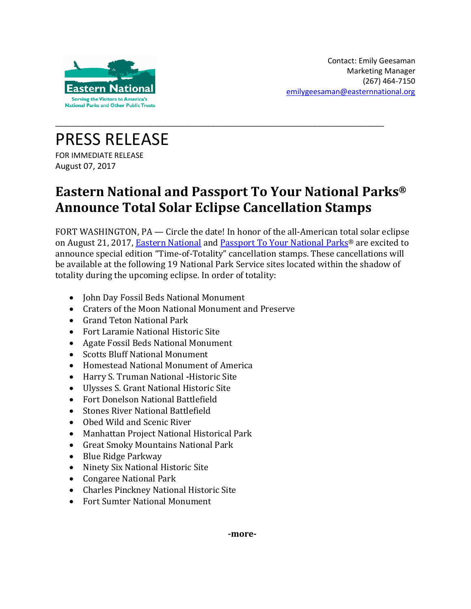

PRESS RELEASE FOR IMMEDIATE RELEASE August 07, 2017

## **Eastern National and Passport To Your National Parks® Announce Total Solar Eclipse Cancellation Stamps**

\_\_\_\_\_\_\_\_\_\_\_\_\_\_\_\_\_\_\_\_\_\_\_\_\_\_\_\_\_\_\_\_\_\_\_\_\_\_\_\_\_\_\_\_\_\_\_\_\_\_\_\_\_\_\_\_\_\_\_\_\_\_\_\_\_\_\_\_\_\_\_\_\_\_\_\_\_\_

FORT WASHINGTON, PA — Circle the date! In honor of the all-American total solar eclipse on August 21, 2017, [Eastern National](http://www.easternnational.org/) and [Passport To Your National](http://www.easternnational.org/what-we-do/passport) Parks® are excited to announce special edition "Time-of-Totality" cancellation stamps. These cancellations will be available at the following 19 National Park Service sites located within the shadow of totality during the upcoming eclipse. In order of totality:

- John Day Fossil Beds National Monument
- Craters of the Moon National Monument and Preserve
- Grand Teton National Park
- Fort Laramie National Historic Site
- Agate Fossil Beds National Monument
- Scotts Bluff National Monument
- Homestead National Monument of America
- Harry S. Truman National **-**Historic Site
- Ulysses S. Grant National Historic Site
- Fort Donelson National Battlefield
- Stones River National Battlefield
- Obed Wild and Scenic River
- Manhattan Project National Historical Park
- Great Smoky Mountains National Park
- Blue Ridge Parkway
- Ninety Six National Historic Site
- Congaree National Park
- Charles Pinckney National Historic Site
- Fort Sumter National Monument